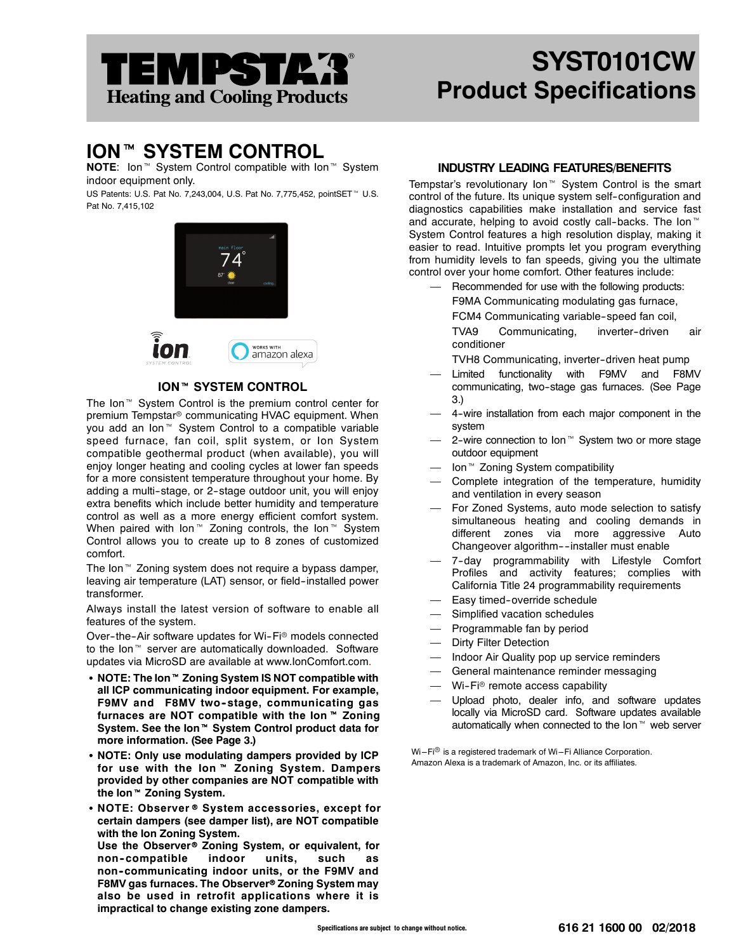# EMPSTA*'*3 **Heating and Cooling Products**

## **SYST0101CW Product Specifications**

### **ION™ SYSTEM CONTROL**

**NOTE:** Ion<sup>™</sup> System Control compatible with Ion<sup>™</sup> System indoor equipment only.

US Patents: U.S. Pat No. 7,243,004, U.S. Pat No. 7,775,452, pointSET<sup>™</sup> U.S. Pat No. 7,415,102



#### **ION™ SYSTEM CONTROL**

The Ion<sup> $M$ </sup> System Control is the premium control center for premium Tempstar<sup>®</sup> communicating HVAC equipment. When you add an Ion<sup>™</sup> System Control to a compatible variable speed furnace, fan coil, split system, or Ion System compatible geothermal product (when available), you will enjoy longer heating and cooling cycles at lower fan speeds for a more consistent temperature throughout your home. By adding a multi-stage, or 2-stage outdoor unit, you will enjoy extra benefits which include better humidity and temperature control as well as a more energy efficient comfort system. When paired with Ion<sup>™</sup> Zoning controls, the Ion<sup>™</sup> System Control allows you to create up to 8 zones of customized comfort.

The Ion<sup>™</sup> Zoning system does not require a bypass damper, leaving air temperature (LAT) sensor, or field-installed power transformer.

Always install the latest version of software to enable all features of the system.

Over-the-Air software updates for Wi-Fi® models connected to the Ion<sup>™</sup> server are automatically downloaded. Software updates via MicroSD are available at www.IonComfort.com.

- **NOTE: The Ion™ Zoning System IS NOT compatible with all ICP communicating indoor equipment. For example, F9MV and F8MV two--stage, communicating gas** furnaces are NOT compatible with the Ion™ Zoning System. See the Ion<sup>™</sup> System Control product data for **more information. (See Page 3.)**
- NOTE: Only use modulating dampers provided by ICP for use with the Ion<sup>™</sup> Zoning System. Dampers **provided by other companies are NOT compatible with** the Ion<sup>™</sup> Zoning System.
- NOTE: Observer<sup>®</sup> System accessories, except for **certain dampers (see damper list), are NOT compatible with the Ion Zoning System.**

Use the Observer<sup>®</sup> Zoning System, or equivalent, for **non--compatible indoor units, such as non--communicating indoor units, or the F9MV and** F8MV gas furnaces. The Observer® Zoning System may **also be used in retrofit applications where it is impractical to change existing zone dampers.**

#### **INDUSTRY LEADING FEATURES/BENEFITS**

Tempstar's revolutionary Ion<sup>™</sup> System Control is the smart control of the future. Its unique system self-configuration and diagnostics capabilities make installation and service fast and accurate, helping to avoid costly call-backs. The  $I$ on<sup> $M$ </sup> System Control features a high resolution display, making it easier to read. Intuitive prompts let you program everything from humidity levels to fan speeds, giving you the ultimate control over your home comfort. Other features include:

— Recommended for use with the following products: F9MA Communicating modulating gas furnace, FCM4 Communicating variable-speed fan coil,

TVA9 Communicating, inverter-driven air conditioner

- TVH8 Communicating, inverter-driven heat pump
- Limited functionality with F9MV and F8MV communicating, two-stage gas furnaces. (See Page 3.)
- 4-wire installation from each major component in the system
- $-$  2-wire connection to Ion<sup> $M$ </sup> System two or more stage outdoor equipment
- Ion<sup>™</sup> Zoning System compatibility
- Complete integration of the temperature, humidity and ventilation in every season
- For Zoned Systems, auto mode selection to satisfy simultaneous heating and cooling demands in different zones via more aggressive Auto Changeover algorithm--installer must enable
- 7-day programmability with Lifestyle Comfort Profiles and activity features; complies with California Title 24 programmability requirements
- Easy timed-override schedule
- Simplified vacation schedules
- Programmable fan by period
- **Dirty Filter Detection**
- Indoor Air Quality pop up service reminders
- General maintenance reminder messaging
- $-$  Wi-Fi<sup>®</sup> remote access capability
- Upload photo, dealer info, and software updates locally via MicroSD card. Software updates available automatically when connected to the Ion $\mathbb N$  web server

 $Wi-Fi<sup>®</sup>$  is a registered trademark of Wi-Fi Alliance Corporation. Amazon Alexa is a trademark of Amazon, Inc. or its affiliates.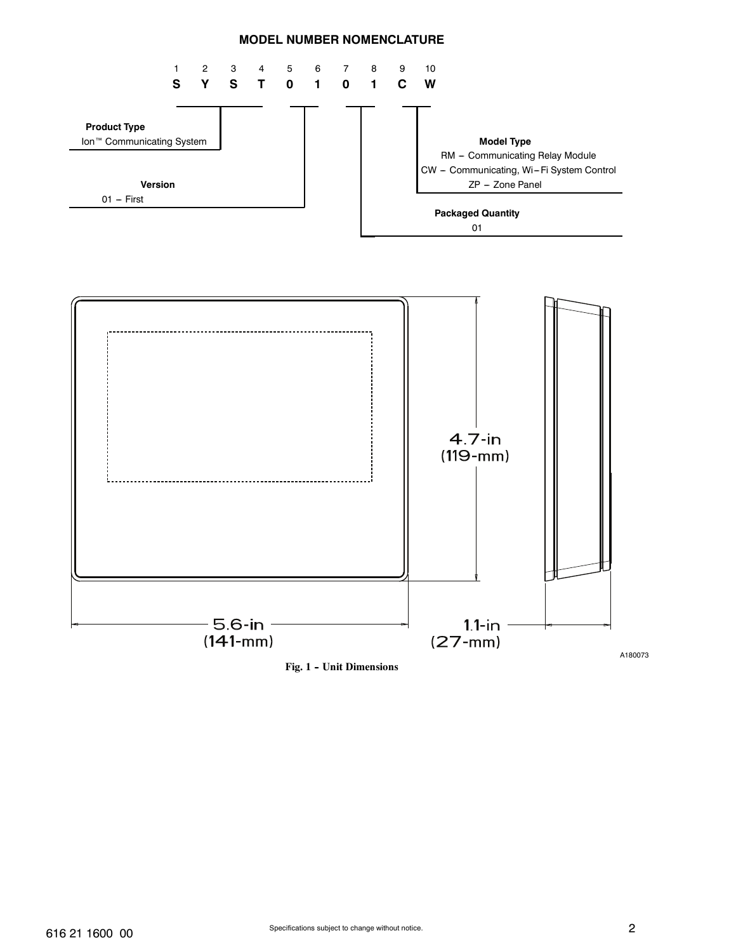#### **MODEL NUMBER NOMENCLATURE**



Fig. 1 - Unit Dimensions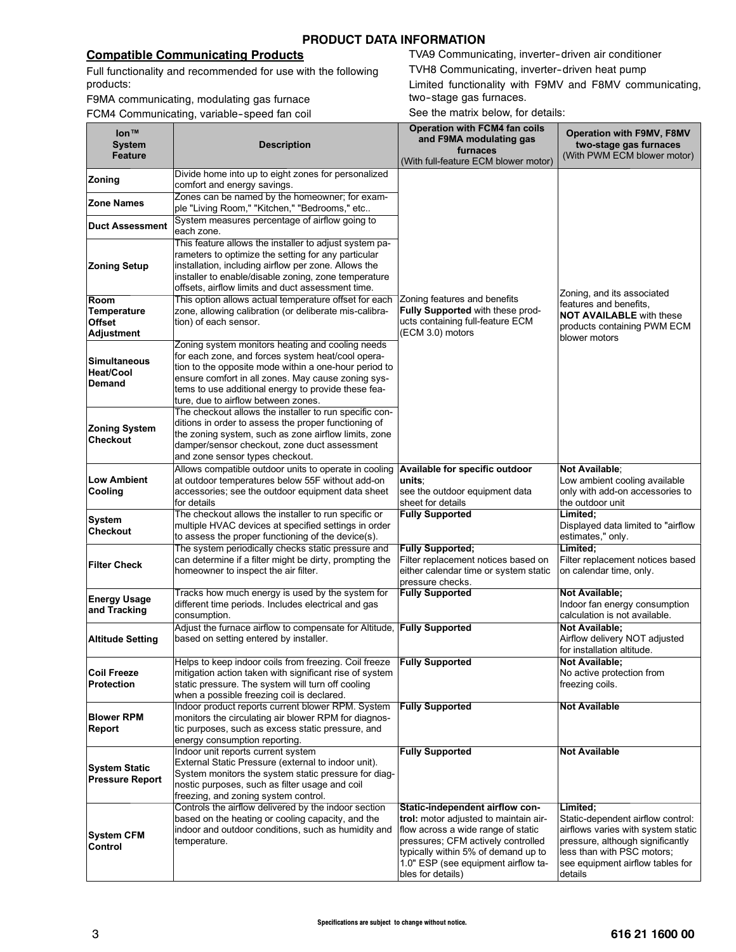#### **Compatible Communicating Products**

Full functionality and recommended for use with the following products:

F9MA communicating, modulating gas furnace

FCM4 Communicating, variable-speed fan coil

TVA9 Communicating, inverter-driven air conditioner TVH8 Communicating, inverter-driven heat pump

Limited functionality with F9MV and F8MV communicating, two-stage gas furnaces.

See the matrix below, for details:

| lon™                                           |                                                                                                                | <b>Operation with FCM4 fan coils</b><br>and F9MA modulating gas              | <b>Operation with F9MV, F8MV</b>                                       |
|------------------------------------------------|----------------------------------------------------------------------------------------------------------------|------------------------------------------------------------------------------|------------------------------------------------------------------------|
| <b>System</b><br><b>Feature</b>                | <b>Description</b>                                                                                             | furnaces                                                                     | two-stage gas furnaces<br>(With PWM ECM blower motor)                  |
|                                                |                                                                                                                | (With full-feature ECM blower motor)                                         |                                                                        |
| Zoning                                         | Divide home into up to eight zones for personalized<br>comfort and energy savings.                             |                                                                              |                                                                        |
|                                                | Zones can be named by the homeowner; for exam-                                                                 |                                                                              |                                                                        |
| <b>Zone Names</b>                              | ple "Living Room," "Kitchen," "Bedrooms," etc                                                                  |                                                                              |                                                                        |
| <b>Duct Assessment</b>                         | System measures percentage of airflow going to<br>each zone.                                                   |                                                                              |                                                                        |
|                                                | This feature allows the installer to adjust system pa-                                                         |                                                                              |                                                                        |
|                                                | rameters to optimize the setting for any particular                                                            |                                                                              |                                                                        |
| <b>Zoning Setup</b>                            | installation, including airflow per zone. Allows the                                                           |                                                                              |                                                                        |
|                                                | installer to enable/disable zoning, zone temperature<br>offsets, airflow limits and duct assessment time.      |                                                                              |                                                                        |
| Room                                           | This option allows actual temperature offset for each                                                          | Zoning features and benefits                                                 | Zoning, and its associated<br>features and benefits.                   |
| Temperature                                    | zone, allowing calibration (or deliberate mis-calibra-                                                         | Fully Supported with these prod-                                             | <b>NOT AVAILABLE</b> with these                                        |
| <b>Offset</b><br>Adjustment                    | tion) of each sensor.                                                                                          | ucts containing full-feature ECM<br>(ECM 3.0) motors                         | products containing PWM ECM                                            |
|                                                | Zoning system monitors heating and cooling needs                                                               |                                                                              | blower motors                                                          |
| <b>Simultaneous</b>                            | for each zone, and forces system heat/cool opera-                                                              |                                                                              |                                                                        |
| <b>Heat/Cool</b>                               | tion to the opposite mode within a one-hour period to<br>ensure comfort in all zones. May cause zoning sys-    |                                                                              |                                                                        |
| <b>Demand</b>                                  | tems to use additional energy to provide these fea-                                                            |                                                                              |                                                                        |
|                                                | ture, due to airflow between zones.                                                                            |                                                                              |                                                                        |
|                                                | The checkout allows the installer to run specific con-<br>ditions in order to assess the proper functioning of |                                                                              |                                                                        |
| <b>Zoning System</b>                           | the zoning system, such as zone airflow limits, zone                                                           |                                                                              |                                                                        |
| <b>Checkout</b>                                | damper/sensor checkout, zone duct assessment                                                                   |                                                                              |                                                                        |
|                                                | and zone sensor types checkout.                                                                                |                                                                              |                                                                        |
| <b>Low Ambient</b>                             | Allows compatible outdoor units to operate in cooling<br>at outdoor temperatures below 55F without add-on      | Available for specific outdoor<br>units∶                                     | Not Available:<br>Low ambient cooling available                        |
| Cooling                                        | accessories; see the outdoor equipment data sheet                                                              | see the outdoor equipment data                                               | only with add-on accessories to                                        |
|                                                | for details                                                                                                    | sheet for details                                                            | the outdoor unit                                                       |
| System                                         | The checkout allows the installer to run specific or<br>multiple HVAC devices at specified settings in order   | <b>Fully Supported</b>                                                       | Limited:<br>Displayed data limited to "airflow"                        |
| <b>Checkout</b>                                | to assess the proper functioning of the device(s).                                                             |                                                                              | estimates," only.                                                      |
|                                                | The system periodically checks static pressure and                                                             | <b>Fully Supported;</b>                                                      | Limited;                                                               |
| <b>Filter Check</b>                            | can determine if a filter might be dirty, prompting the<br>homeowner to inspect the air filter.                | Filter replacement notices based on<br>either calendar time or system static | Filter replacement notices based<br>on calendar time, only.            |
|                                                |                                                                                                                | pressure checks.                                                             |                                                                        |
| <b>Energy Usage</b>                            | Tracks how much energy is used by the system for                                                               | <b>Fully Supported</b>                                                       | <b>Not Available:</b>                                                  |
| and Tracking                                   | different time periods. Includes electrical and gas<br>consumption.                                            |                                                                              | Indoor fan energy consumption<br>calculation is not available.         |
|                                                | Adjust the furnace airflow to compensate for Altitude, Fully Supported                                         |                                                                              | <b>Not Available:</b>                                                  |
| <b>Altitude Setting</b>                        | based on setting entered by installer.                                                                         |                                                                              | Airflow delivery NOT adjusted                                          |
|                                                | Helps to keep indoor coils from freezing. Coil freeze                                                          | <b>Fully Supported</b>                                                       | for installation altitude.<br><b>Not Available:</b>                    |
| <b>Coil Freeze</b>                             | mitigation action taken with significant rise of system                                                        |                                                                              | No active protection from                                              |
| <b>Protection</b>                              | static pressure. The system will turn off cooling                                                              |                                                                              | freezing coils.                                                        |
|                                                | when a possible freezing coil is declared.<br>Indoor product reports current blower RPM. System                | <b>Fully Supported</b>                                                       | <b>Not Available</b>                                                   |
| <b>Blower RPM</b>                              | monitors the circulating air blower RPM for diagnos-                                                           |                                                                              |                                                                        |
| <b>Report</b>                                  | tic purposes, such as excess static pressure, and                                                              |                                                                              |                                                                        |
|                                                | energy consumption reporting.<br>Indoor unit reports current system                                            | <b>Fully Supported</b>                                                       | <b>Not Available</b>                                                   |
|                                                | External Static Pressure (external to indoor unit).                                                            |                                                                              |                                                                        |
| <b>System Static</b><br><b>Pressure Report</b> | System monitors the system static pressure for diag-                                                           |                                                                              |                                                                        |
|                                                | nostic purposes, such as filter usage and coil<br>freezing, and zoning system control.                         |                                                                              |                                                                        |
|                                                | Controls the airflow delivered by the indoor section                                                           | Static-independent airflow con-                                              | Limited;                                                               |
|                                                | based on the heating or cooling capacity, and the                                                              | trol: motor adjusted to maintain air-                                        | Static-dependent airflow control:                                      |
| <b>System CFM</b>                              | indoor and outdoor conditions, such as humidity and                                                            | flow across a wide range of static                                           | airflows varies with system static<br>pressure, although significantly |
| Control                                        | temperature.                                                                                                   | pressures; CFM actively controlled<br>typically within 5% of demand up to    | less than with PSC motors;                                             |
|                                                |                                                                                                                | 1.0" ESP (see equipment airflow ta-                                          | see equipment airflow tables for                                       |
|                                                |                                                                                                                | bles for details)                                                            | details                                                                |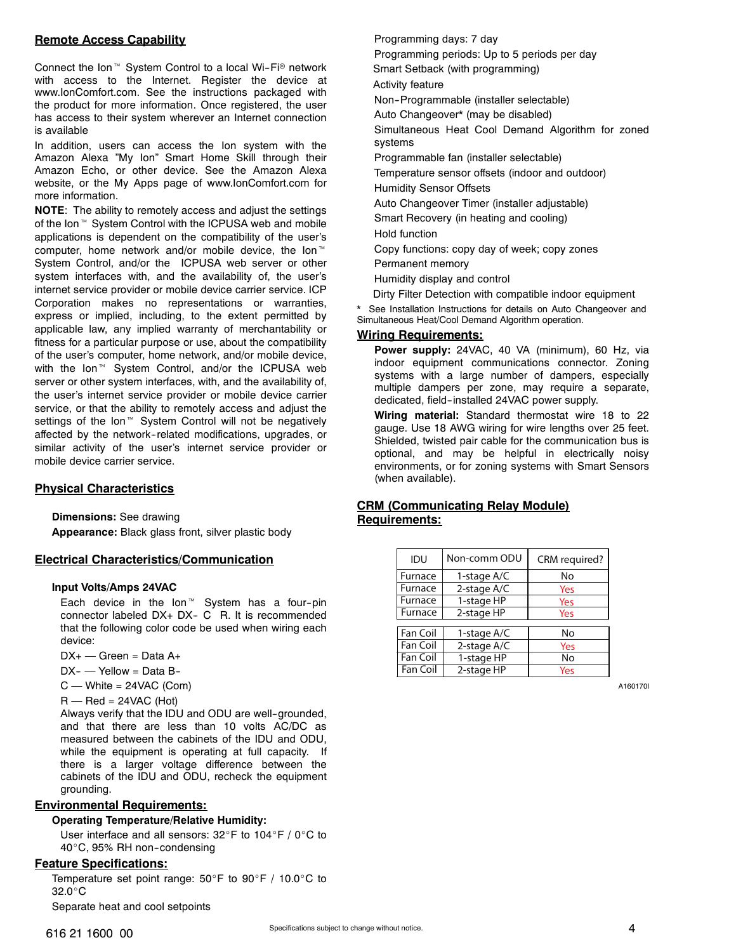#### **Remote Access Capability**

Connect the Ion<sup>™</sup> System Control to a local Wi-Fi<sup>®</sup> network with access to the Internet. Register the device at www.IonComfort.com. See the instructions packaged with the product for more information. Once registered, the user has access to their system wherever an Internet connection is available

In addition, users can access the Ion system with the Amazon Alexa "My Ion" Smart Home Skill through their Amazon Echo, or other device. See the Amazon Alexa website, or the My Apps page of www.IonComfort.com for more information.

**NOTE**: The ability to remotely access and adjust the settings of the Ion<sup>™</sup> System Control with the ICPUSA web and mobile applications is dependent on the compatibility of the user's computer, home network and/or mobile device, the  $lon^{\mathbb{M}}$ System Control, and/or the ICPUSA web server or other system interfaces with, and the availability of, the user's internet service provider or mobile device carrier service. ICP Corporation makes no representations or warranties, express or implied, including, to the extent permitted by applicable law, any implied warranty of merchantability or fitness for a particular purpose or use, about the compatibility of the user's computer, home network, and/or mobile device, with the Ion<sup> $M$ </sup> System Control, and/or the ICPUSA web server or other system interfaces, with, and the availability of, the user's internet service provider or mobile device carrier service, or that the ability to remotely access and adjust the settings of the Ion<sup>™</sup> System Control will not be negatively affected by the network--related modifications, upgrades, or similar activity of the user's internet service provider or mobile device carrier service.

#### **Physical Characteristics**

**Dimensions:** See drawing

**Appearance:** Black glass front, silver plastic body

#### **Electrical Characteristics/Communication**

#### **Input Volts/Amps 24VAC**

Each device in the  $lon^{\mathbb{M}}$  System has a four-pin connector labeled  $DX+DX-C$  R. It is recommended that the following color code be used when wiring each device:

- $DX$  +  $-$  Green = Data  $A$  +
- $DX$   $\rightarrow$  Yellow = Data B-
- $C$  White = 24VAC (Com)
- $R$  Red = 24VAC (Hot)

Always verify that the IDU and ODU are well-grounded, and that there are less than 10 volts AC/DC as measured between the cabinets of the IDU and ODU, while the equipment is operating at full capacity. If there is a larger voltage difference between the cabinets of the IDU and ODU, recheck the equipment grounding.

#### **Environmental Requirements:**

#### **Operating Temperature/Relative Humidity:**

User interface and all sensors: 32°F to 104°F / 0°C to 40°C, 95% RH non-condensing

#### **Feature Specifications:**

Temperature set point range:  $50^\circ$ F to  $90^\circ$ F / 10.0 $^\circ$ C to  $32.0^{\circ}$ C

Separate heat and cool setpoints

#### Programming days: 7 day

Programming periods: Up to 5 periods per day Smart Setback (with programming)

Activity feature

Non--Programmable (installer selectable)

Auto Changeover\* (may be disabled)

Simultaneous Heat Cool Demand Algorithm for zoned systems

Programmable fan (installer selectable)

Temperature sensor offsets (indoor and outdoor) Humidity Sensor Offsets

Auto Changeover Timer (installer adjustable)

Smart Recovery (in heating and cooling)

Hold function

Copy functions: copy day of week; copy zones

Permanent memory

Humidity display and control

Dirty Filter Detection with compatible indoor equipment

See Installation Instructions for details on Auto Changeover and Simultaneous Heat/Cool Demand Algorithm operation.

#### **Wiring Requirements:**

**Power supply:** 24VAC, 40 VA (minimum), 60 Hz, via indoor equipment communications connector. Zoning systems with a large number of dampers, especially multiple dampers per zone, may require a separate, dedicated, field--installed 24VAC power supply.

**Wiring material:** Standard thermostat wire 18 to 22 gauge. Use 18 AWG wiring for wire lengths over 25 feet. Shielded, twisted pair cable for the communication bus is optional, and may be helpful in electrically noisy environments, or for zoning systems with Smart Sensors (when available).

#### **CRM (Communicating Relay Module) Requirements:**

| IDU             | Non-comm ODU | CRM required? |
|-----------------|--------------|---------------|
| Furnace         | 1-stage A/C  | No            |
| Furnace         | 2-stage A/C  | Yes           |
| Furnace         | 1-stage HP   | Yes           |
| Furnace         | 2-stage HP   | Yes           |
|                 |              |               |
| <b>Fan Coil</b> | 1-stage A/C  | No            |
| Fan Coil        | 2-stage A/C  | Yes           |
| Fan Coil        | 1-stage HP   | No            |
| Fan Coil        | 2-stage HP   | Yes           |

A160170I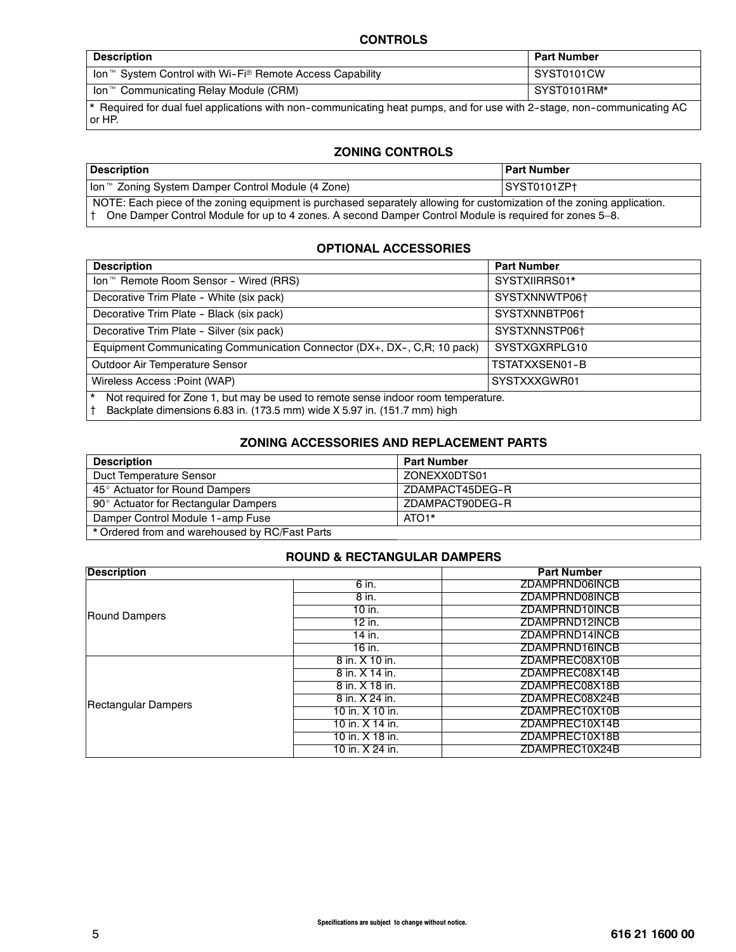### **CONTROLS**

| <b>Description</b>                                                                                                                           | <b>Part Number</b> |  |
|----------------------------------------------------------------------------------------------------------------------------------------------|--------------------|--|
| Ion <sup>™</sup> System Control with Wi-Fi <sup>®</sup> Remote Access Capability                                                             | SYST0101CW         |  |
| Ion <sup>™</sup> Communicating Relay Module (CRM)                                                                                            | SYST0101RM*        |  |
| <sup>*</sup> Required for dual fuel applications with non-communicating heat pumps, and for use with 2-stage, non-communicating AC<br>or HP. |                    |  |

#### **ZONING CONTROLS**

| ∣ Description                                                                                                                                                                                                                    | <b>Part Number</b> |  |
|----------------------------------------------------------------------------------------------------------------------------------------------------------------------------------------------------------------------------------|--------------------|--|
| lon™ Zoning System Damper Control Module (4 Zone)                                                                                                                                                                                | SYST0101ZPt        |  |
| NOTE: Each piece of the zoning equipment is purchased separately allowing for customization of the zoning application.<br>One Damper Control Module for up to 4 zones. A second Damper Control Module is required for zones 5–8. |                    |  |

#### **OPTIONAL ACCESSORIES**

| <b>Description</b>                                                                                                                                                       | <b>Part Number</b> |  |
|--------------------------------------------------------------------------------------------------------------------------------------------------------------------------|--------------------|--|
| Ion <sup>™</sup> Remote Room Sensor - Wired (RRS)                                                                                                                        | SYSTXIIRRS01*      |  |
| Decorative Trim Plate - White (six pack)                                                                                                                                 | SYSTXNNWTP06+      |  |
| Decorative Trim Plate - Black (six pack)                                                                                                                                 | SYSTXNNBTP06+      |  |
| Decorative Trim Plate - Silver (six pack)                                                                                                                                | SYSTXNNSTP06+      |  |
| Equipment Communicating Communication Connector (DX+, DX-, C, R; 10 pack)                                                                                                | SYSTXGXRPLG10      |  |
| Outdoor Air Temperature Sensor                                                                                                                                           | TSTATXXSEN01-B     |  |
| Wireless Access : Point (WAP)                                                                                                                                            | SYSTXXXGWR01       |  |
| Not required for Zone 1, but may be used to remote sense indoor room temperature.<br>$\star$<br>Backplate dimensions 6.83 in. (173.5 mm) wide X 5.97 in. (151.7 mm) high |                    |  |

#### **ZONING ACCESSORIES AND REPLACEMENT PARTS**

| <b>Description</b>                             | <b>Part Number</b> |
|------------------------------------------------|--------------------|
| Duct Temperature Sensor                        | ZONEXX0DTS01       |
| 45° Actuator for Round Dampers                 | ZDAMPACT45DEG-R    |
| 90° Actuator for Rectangular Dampers           | ZDAMPACT90DEG-R    |
| Damper Control Module 1-amp Fuse               | ATO <sub>1</sub> * |
| * Ordered from and warehoused by RC/Fast Parts |                    |

#### **ROUND & RECTANGULAR DAMPERS**

| <b>Description</b>   |                 | <b>Part Number</b> |
|----------------------|-----------------|--------------------|
|                      | 6 in.           | ZDAMPRND06INCB     |
|                      | 8 in.           | ZDAMPRND08INCB     |
| <b>Round Dampers</b> | 10 in.          | ZDAMPRND10INCB     |
|                      | 12 in.          | ZDAMPRND12INCB     |
|                      | 14 in.          | ZDAMPRND14INCB     |
|                      | 16 in.          | ZDAMPRND16INCB     |
|                      | 8 in. X 10 in.  | ZDAMPREC08X10B     |
|                      | 8 in. X 14 in.  | ZDAMPREC08X14B     |
|                      | 8 in. X 18 in.  | ZDAMPREC08X18B     |
| Rectangular Dampers  | 8 in. X 24 in.  | ZDAMPREC08X24B     |
|                      | 10 in. X 10 in. | ZDAMPREC10X10B     |
|                      | 10 in. X 14 in. | ZDAMPREC10X14B     |
|                      | 10 in. X 18 in. | ZDAMPREC10X18B     |
|                      | 10 in. X 24 in. | ZDAMPREC10X24B     |